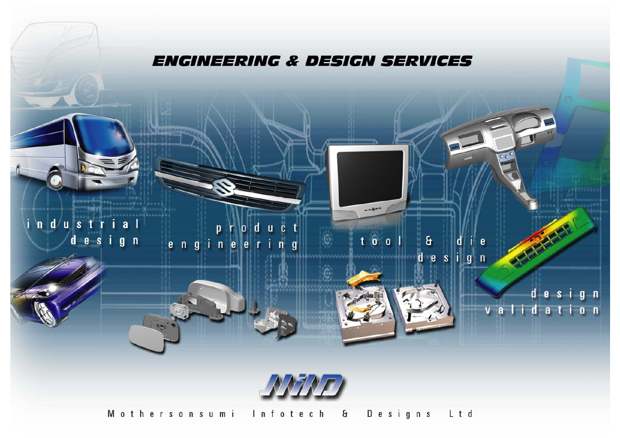

Mothersonsumi Infotech & Designs Ltd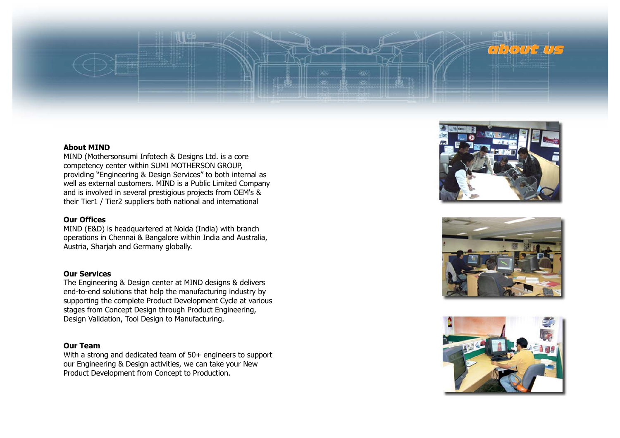

#### **About MIND**

MIND (Mothersonsumi Infotech & Designs Ltd. is <sup>a</sup> core competency center within SUMI MOTHERSON GROUP, providing "Engineering & Design Services" to both internal as well as external customers. MIND is <sup>a</sup> Public Limited Company and is involved in several prestigious projects from OEM's & their Tier1 / Tier2 suppliers both national and international

#### **Our Offices**

MIND (E&D) is headquartered at Noida (India) with branch operations in Chennai & Bangalore within India and Australia, Austria, Sharjah and Germany globally.

#### **Our Services**

The Engineering & Design center at MIND designs & delivers end-to-end solutions that help the manufacturing industry by supporting the complete Product Development Cycle at various stages from Concept Design through Product Engineering, Design Validation, Tool Design to Manufacturing.

#### **Our Team**

With a strong and dedicated team of 50+ engineers to support our Engineering & Design activities, we can take your New Product Development from Concept to Production.





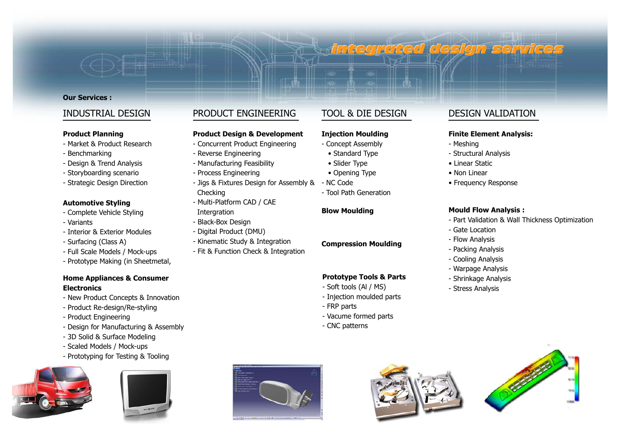#### **Our Services :**

### INDUSTRIAL DESIGN

#### **Product Planning**

- Market & Product Research
- Benchmarking
- Design & Trend Analysis
- Storyboarding scenario
- Strategic Design Direction

#### **Automotive Styling**

- Complete Vehicle Styling
- Variants
- Interior & Exterior Modules
- Surfacing (Class A)
- Full Scale Models / Mock-ups
- Prototype Making (in Sheetmetal,

#### **Home Appliances & Consumer Electronics**

- New Product Concepts & Innovation
- Product Re-design/Re-styling
- Product Engineering
- Design for Manufacturing & Assembly
- 3D Solid & Surface Modeling
- Scaled Models / Mock-ups
- Prototyping for Testing & Tooling





## PRODUCT ENGINEERING

#### **Product Design & Development**

- Concurrent Product Engineering
- Reverse Engineering
- Manufacturing Feasibility
- Process Engineering
- Jigs & Fixtures Design for Assembly & Checking
- Multi-Platform CAD / CAE Intergration
- Black-Box Design
- Digital Product (DMU)
- Kinematic Study & Integration
- Fit & Function Check & Integration

# TOOL & DIE DESIGN

#### **Injection Moulding**

- Concept Assembly
- Standard Type
- Slider Type
- Opening Type
- NC Code
- Tool Path Generation

#### **Blow Moulding**

#### **Compression Moulding**

#### **Prototype Tools & Parts**

- Soft tools (Al / MS)
- Injection moulded parts
- FRP parts
- Vacume formed parts
- CNC patterns







# DESIGN VALIDATION

#### **Finite Element Analysis:**

- Meshing

**integrated design services** 

- Structural Analysis
- Linear Static
- Non Linear
- Frequency Response

#### **Mould Flow Analysis :**

- Part Validation & Wall Thickness Optimization
- 
- Flow Analysis
- Packing Analysis
- Cooling Analysis
- Warpage Analysis
- Shrinkage Analysis
- Stress Analysis
- - Gate Location
-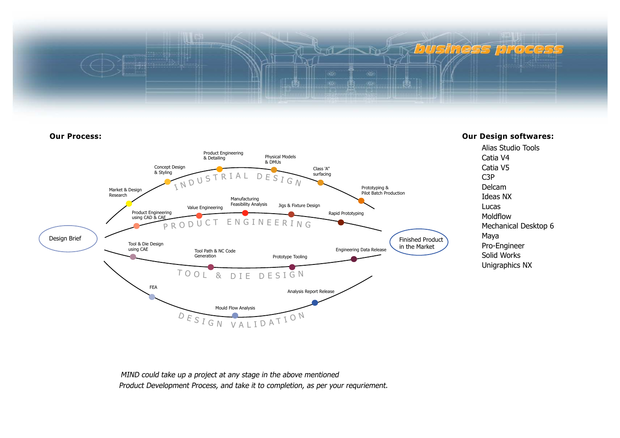



MIND could take up <sup>a</sup> project at any stage in the above mentioned Product Development Process, and take it to completion, as per your requriement.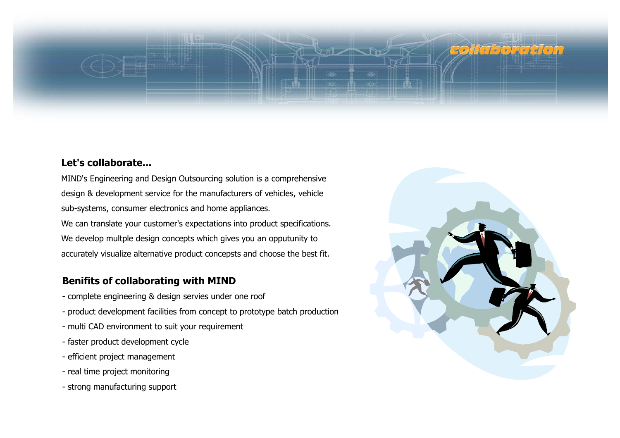# **sofferboracion** 17 NB

# **Let's collaborate...**

MIND's Engineering and Design Outsourcing solution is <sup>a</sup> comprehensive design & development service for the manufacturers of vehicles, vehicle sub-systems, consumer electronics and home appliances. We can translate your customer's expectations into product specifications. We develop multple design concepts which gives you an opputunity to accurately visualize alternative product concepsts and choose the best fit.

# **Benifits of collaborating with MIND**

- complete engineering & design servies under one roof
- product development facilities from concept to prototype batch production
- multi CAD environment to suit your requirement
- faster product development cycle
- efficient project management
- real time project monitoring
- strong manufacturing support